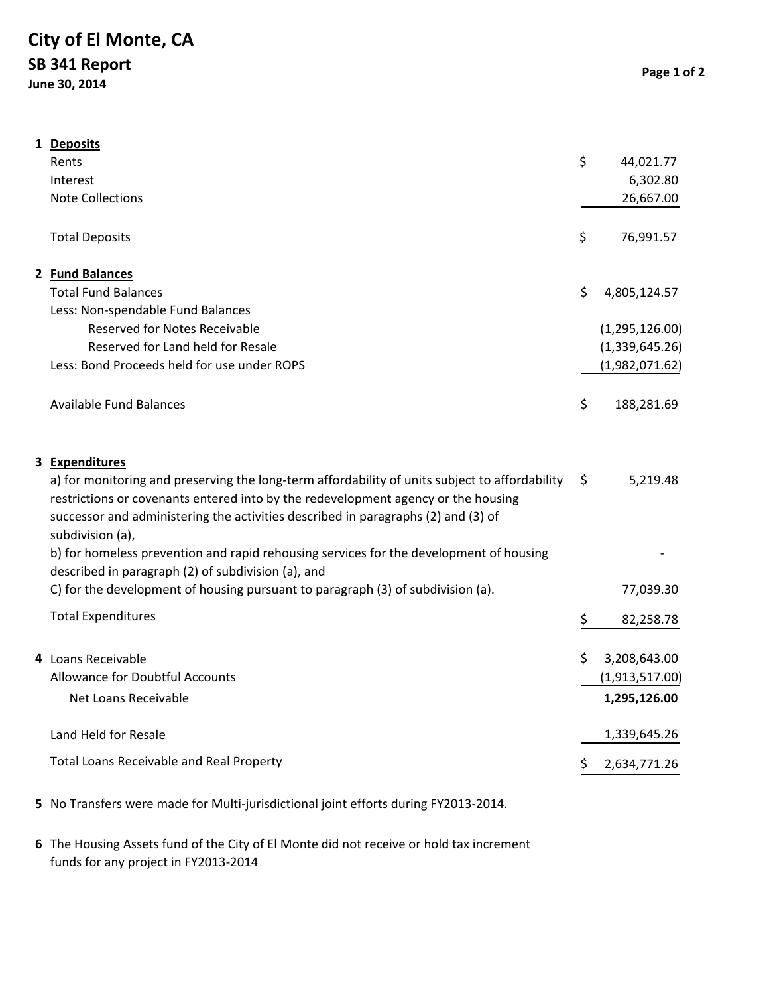## **City of El Monte, CA SB 341 Report**

**June 30, 2014**

|  | 1 Deposits<br>Rents<br>Interest<br><b>Note Collections</b>                                                                                                                                                                                                                                                                                                                                                                                                                                                                                        | \$<br>44,021.77<br>6,302.80<br>26,667.00             |
|--|---------------------------------------------------------------------------------------------------------------------------------------------------------------------------------------------------------------------------------------------------------------------------------------------------------------------------------------------------------------------------------------------------------------------------------------------------------------------------------------------------------------------------------------------------|------------------------------------------------------|
|  | <b>Total Deposits</b>                                                                                                                                                                                                                                                                                                                                                                                                                                                                                                                             | \$<br>76,991.57                                      |
|  | 2 Fund Balances<br><b>Total Fund Balances</b>                                                                                                                                                                                                                                                                                                                                                                                                                                                                                                     | \$<br>4,805,124.57                                   |
|  | Less: Non-spendable Fund Balances<br><b>Reserved for Notes Receivable</b><br>Reserved for Land held for Resale<br>Less: Bond Proceeds held for use under ROPS                                                                                                                                                                                                                                                                                                                                                                                     | (1,295,126.00)<br>(1,339,645.26)<br>(1,982,071.62)   |
|  | <b>Available Fund Balances</b>                                                                                                                                                                                                                                                                                                                                                                                                                                                                                                                    | \$<br>188,281.69                                     |
|  | 3 Expenditures<br>a) for monitoring and preserving the long-term affordability of units subject to affordability<br>restrictions or covenants entered into by the redevelopment agency or the housing<br>successor and administering the activities described in paragraphs (2) and (3) of<br>subdivision (a),<br>b) for homeless prevention and rapid rehousing services for the development of housing<br>described in paragraph (2) of subdivision (a), and<br>C) for the development of housing pursuant to paragraph (3) of subdivision (a). | \$<br>5,219.48<br>77,039.30                          |
|  | <b>Total Expenditures</b>                                                                                                                                                                                                                                                                                                                                                                                                                                                                                                                         | \$<br>82,258.78                                      |
|  | 4 Loans Receivable<br>Allowance for Doubtful Accounts<br>Net Loans Receivable                                                                                                                                                                                                                                                                                                                                                                                                                                                                     | \$<br>3,208,643.00<br>(1,913,517.00)<br>1,295,126.00 |
|  | Land Held for Resale                                                                                                                                                                                                                                                                                                                                                                                                                                                                                                                              | 1,339,645.26                                         |
|  | Total Loans Receivable and Real Property                                                                                                                                                                                                                                                                                                                                                                                                                                                                                                          | \$<br>2,634,771.26                                   |

- **5** No Transfers were made for Multi‐jurisdictional joint efforts during FY2013‐2014.
- **6** The Housing Assets fund of the City of El Monte did not receive or hold tax increment funds for any project in FY2013‐2014